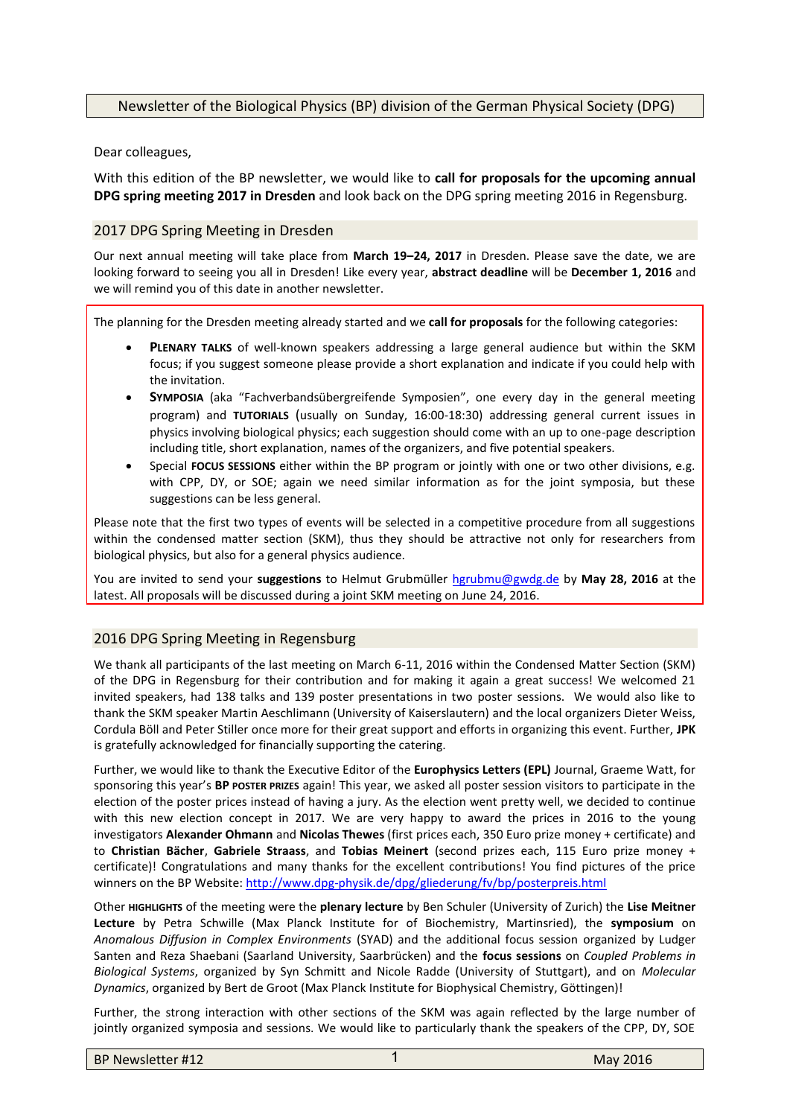## Newsletter of the Biological Physics (BP) division of the German Physical Society (DPG)

Dear colleagues,

With this edition of the BP newsletter, we would like to **call for proposals for the upcoming annual DPG spring meeting 2017 in Dresden** and look back on the DPG spring meeting 2016 in Regensburg.

## 2017 DPG Spring Meeting in Dresden

Our next annual meeting will take place from **March 19–24, 2017** in Dresden. Please save the date, we are looking forward to seeing you all in Dresden! Like every year, **abstract deadline** will be **December 1, 2016** and we will remind you of this date in another newsletter.

The planning for the Dresden meeting already started and we **call for proposals** for the following categories:

- **PLENARY TALKS** of well-known speakers addressing a large general audience but within the SKM focus; if you suggest someone please provide a short explanation and indicate if you could help with the invitation.
- **SYMPOSIA** (aka "Fachverbandsübergreifende Symposien", one every day in the general meeting program) and **TUTORIALS** (usually on Sunday, 16:00-18:30) addressing general current issues in physics involving biological physics; each suggestion should come with an up to one-page description including title, short explanation, names of the organizers, and five potential speakers.
- Special **FOCUS SESSIONS** either within the BP program or jointly with one or two other divisions, e.g. with CPP, DY, or SOE; again we need similar information as for the joint symposia, but these suggestions can be less general.

Please note that the first two types of events will be selected in a competitive procedure from all suggestions within the condensed matter section (SKM), thus they should be attractive not only for researchers from biological physics, but also for a general physics audience.

You are invited to send your **suggestions** to Helmut Grubmüller [hgrubmu@gwdg.de](mailto:hgrubmu@gwdg.de) by **May 28, 2016** at the latest. All proposals will be discussed during a joint SKM meeting on June 24, 2016.

## 2016 DPG Spring Meeting in Regensburg

We thank all participants of the last meeting on March 6-11, 2016 within the Condensed Matter Section (SKM) of the DPG in Regensburg for their contribution and for making it again a great success! We welcomed 21 invited speakers, had 138 talks and 139 poster presentations in two poster sessions. We would also like to thank the SKM speaker Martin Aeschlimann (University of Kaiserslautern) and the local organizers Dieter Weiss, Cordula Böll and Peter Stiller once more for their great support and efforts in organizing this event. Further, **JPK** is gratefully acknowledged for financially supporting the catering.

Further, we would like to thank the Executive Editor of the **Europhysics Letters (EPL)** Journal, Graeme Watt, for sponsoring this year's **BP POSTER PRIZES** again! This year, we asked all poster session visitors to participate in the election of the poster prices instead of having a jury. As the election went pretty well, we decided to continue with this new election concept in 2017. We are very happy to award the prices in 2016 to the young investigators **Alexander Ohmann** and **Nicolas Thewes** (first prices each, 350 Euro prize money + certificate) and to **Christian Bächer**, **Gabriele Straass**, and **Tobias Meinert** (second prizes each, 115 Euro prize money + certificate)! Congratulations and many thanks for the excellent contributions! You find pictures of the price winners on the BP Website[: http://www.dpg-physik.de/dpg/gliederung/fv/bp/posterpreis.html](http://www.dpg-physik.de/dpg/gliederung/fv/bp/posterpreis.html)

Other **HIGHLIGHTS** of the meeting were the **plenary lecture** by Ben Schuler (University of Zurich) the **Lise Meitner Lecture** by Petra Schwille (Max Planck Institute for of Biochemistry, Martinsried), the **symposium** on *Anomalous Diffusion in Complex Environments* (SYAD) and the additional focus session organized by Ludger Santen and Reza Shaebani (Saarland University, Saarbrücken) and the **focus sessions** on *Coupled Problems in Biological Systems*, organized by Syn Schmitt and Nicole Radde (University of Stuttgart), and on *Molecular Dynamics*, organized by Bert de Groot (Max Planck Institute for Biophysical Chemistry, Göttingen)!

Further, the strong interaction with other sections of the SKM was again reflected by the large number of jointly organized symposia and sessions. We would like to particularly thank the speakers of the CPP, DY, SOE